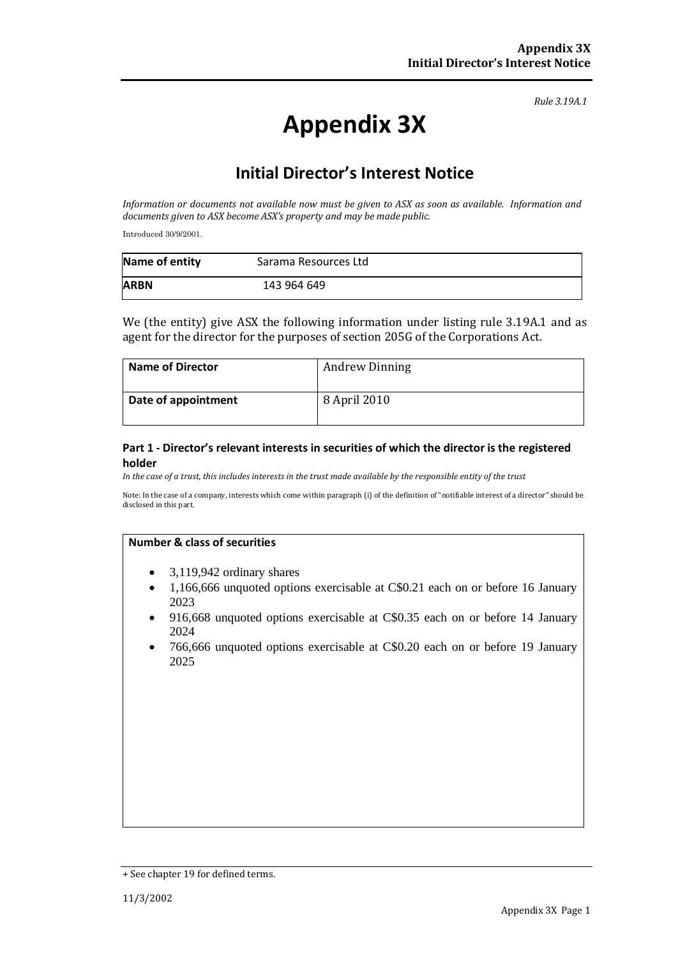# **Appendix 3X**

## **Initial Director's Interest Notice**

*Information or documents not available now must be given to ASX as soon as available. Information and documents given to ASX become ASX's property and may be made public.*

Introduced 30/9/2001.

| Name of entity | Sarama Resources Ltd |  |
|----------------|----------------------|--|
| <b>ARBN</b>    | 143 964 649          |  |

We (the entity) give ASX the following information under listing rule 3.19A.1 and as agent for the director for the purposes of section 205G of the Corporations Act.

| <b>Name of Director</b> | <b>Andrew Dinning</b> |
|-------------------------|-----------------------|
| Date of appointment     | 8 April 2010          |

#### **Part 1 - Director's relevant interests in securities of which the director is the registered holder**

*In the case of a trust, this includes interests in the trust made available by the responsible entity of the trust*

Note: In the case of a company, interests which come within paragraph (i) of the definition of "notifiable interest of a director" should be disclosed in this part.

- 3,119,942 ordinary shares
- 1,166,666 unquoted options exercisable at C\$0.21 each on or before 16 January 2023
- 916,668 unquoted options exercisable at C\$0.35 each on or before 14 January 2024
- 766,666 unquoted options exercisable at C\$0.20 each on or before 19 January 2025

<sup>+</sup> See chapter 19 for defined terms.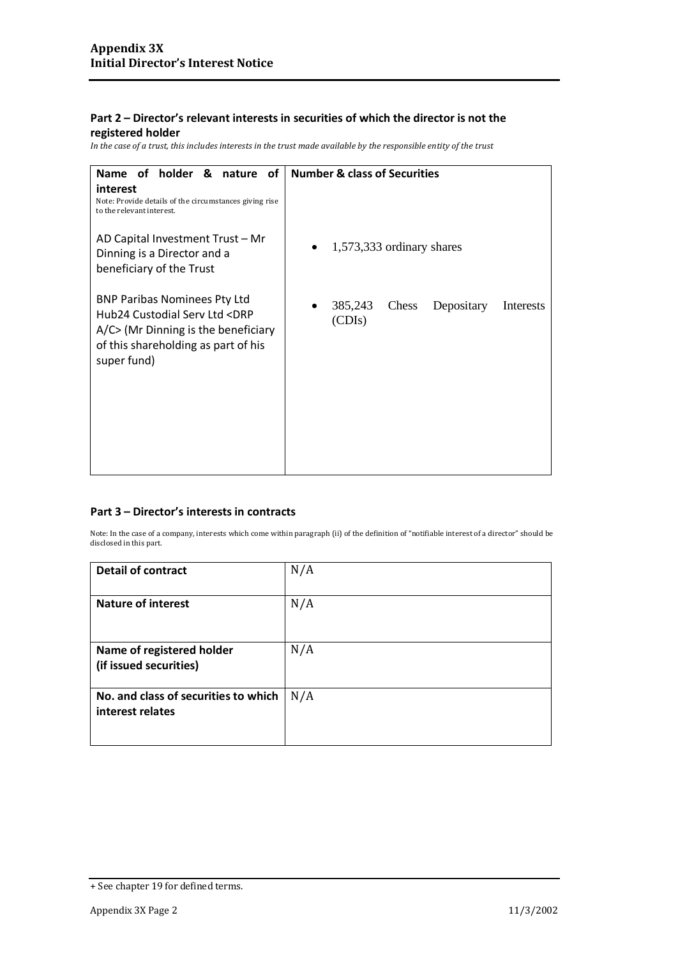**registered holder**

*In the case of a trust, this includes interests in the trust made available by the responsible entity of the trust*

| Name of holder & nature of                                                                                                                                                               | <b>Number &amp; class of Securities</b>                      |
|------------------------------------------------------------------------------------------------------------------------------------------------------------------------------------------|--------------------------------------------------------------|
| interest<br>Note: Provide details of the circumstances giving rise<br>to the relevant interest.                                                                                          |                                                              |
| AD Capital Investment Trust - Mr<br>Dinning is a Director and a<br>beneficiary of the Trust                                                                                              | $1,573,333$ ordinary shares                                  |
| <b>BNP Paribas Nominees Pty Ltd</b><br>Hub24 Custodial Serv Ltd <drp<br><math>A/C</math> (Mr Dinning is the beneficiary<br/>of this shareholding as part of his<br/>super fund)</drp<br> | 385,243<br><b>Chess</b><br>Depositary<br>Interests<br>(CDIS) |

### **Part 3 – Director's interests in contracts**

| <b>Detail of contract</b>            | N/A |
|--------------------------------------|-----|
|                                      |     |
|                                      |     |
| <b>Nature of interest</b>            | N/A |
|                                      |     |
|                                      |     |
|                                      |     |
| Name of registered holder            | N/A |
| (if issued securities)               |     |
|                                      |     |
|                                      |     |
| No. and class of securities to which | N/A |
| interest relates                     |     |
|                                      |     |
|                                      |     |

<sup>+</sup> See chapter 19 for defined terms.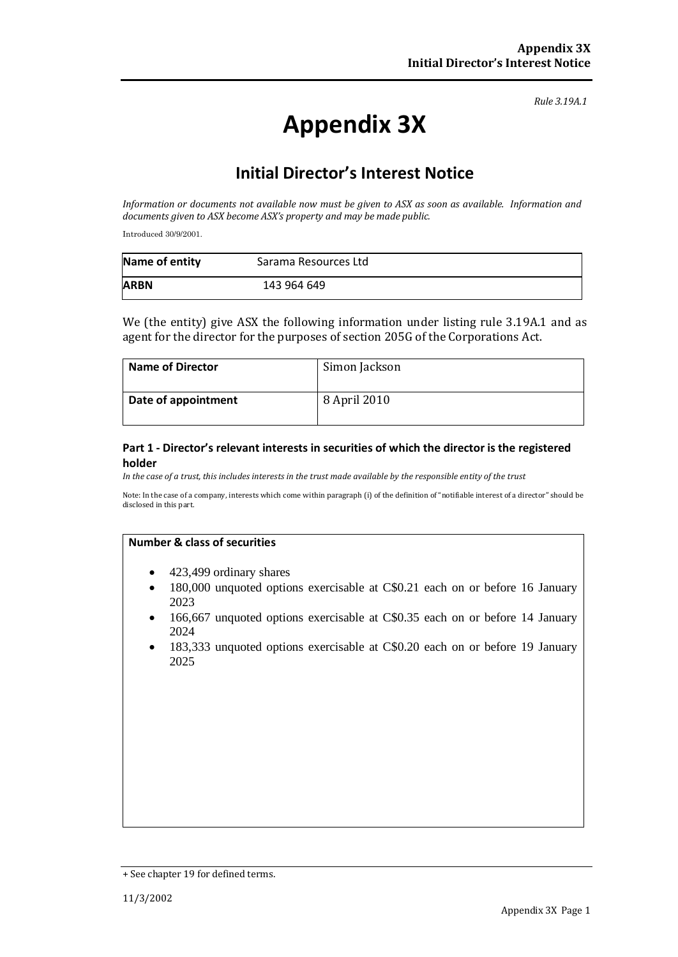# **Appendix 3X**

### **Initial Director's Interest Notice**

*Information or documents not available now must be given to ASX as soon as available. Information and documents given to ASX become ASX's property and may be made public.*

Introduced 30/9/2001.

| Name of entity | Sarama Resources Ltd |  |
|----------------|----------------------|--|
| <b>ARBN</b>    | 143 964 649          |  |

We (the entity) give ASX the following information under listing rule 3.19A.1 and as agent for the director for the purposes of section 205G of the Corporations Act.

| <b>Name of Director</b> | Simon Jackson |
|-------------------------|---------------|
| Date of appointment     | 8 April 2010  |

#### **Part 1 - Director's relevant interests in securities of which the director is the registered holder**

*In the case of a trust, this includes interests in the trust made available by the responsible entity of the trust*

Note: In the case of a company, interests which come within paragraph (i) of the definition of "notifiable interest of a director" should be disclosed in this part.

- 423,499 ordinary shares
- 180,000 unquoted options exercisable at C\$0.21 each on or before 16 January 2023
- 166,667 unquoted options exercisable at C\$0.35 each on or before 14 January 2024
- 183,333 unquoted options exercisable at C\$0.20 each on or before 19 January 2025

<sup>+</sup> See chapter 19 for defined terms.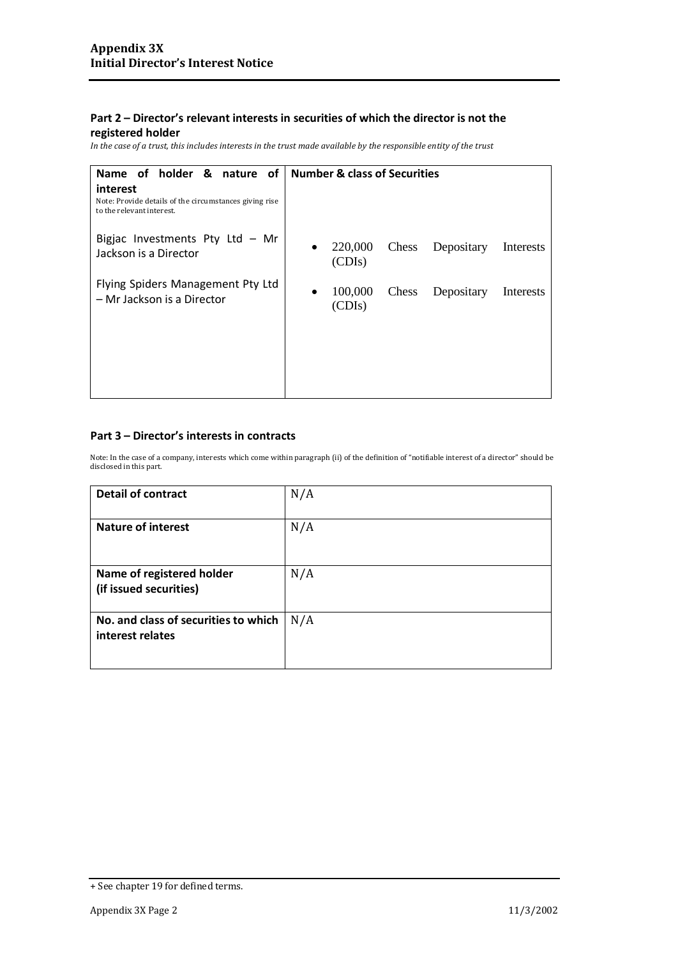### **registered holder**

*In the case of a trust, this includes interests in the trust made available by the responsible entity of the trust*

| Name of holder & nature of                                                                      | <b>Number &amp; class of Securities</b>                            |
|-------------------------------------------------------------------------------------------------|--------------------------------------------------------------------|
| interest<br>Note: Provide details of the circumstances giving rise<br>to the relevant interest. |                                                                    |
| Bigjac Investments Pty Ltd $-$ Mr<br>Jackson is a Director                                      | 220,000<br>Chess<br>Depositary<br>Interests<br>$\bullet$<br>(CDIs) |
| Flying Spiders Management Pty Ltd<br>- Mr Jackson is a Director                                 | 100,000<br>Chess<br>Depositary<br>Interests<br>(CDIs)              |
|                                                                                                 |                                                                    |
|                                                                                                 |                                                                    |

### **Part 3 – Director's interests in contracts**

| <b>Detail of contract</b>                                | N/A |
|----------------------------------------------------------|-----|
| <b>Nature of interest</b>                                | N/A |
| Name of registered holder<br>(if issued securities)      | N/A |
| No. and class of securities to which<br>interest relates | N/A |

<sup>+</sup> See chapter 19 for defined terms.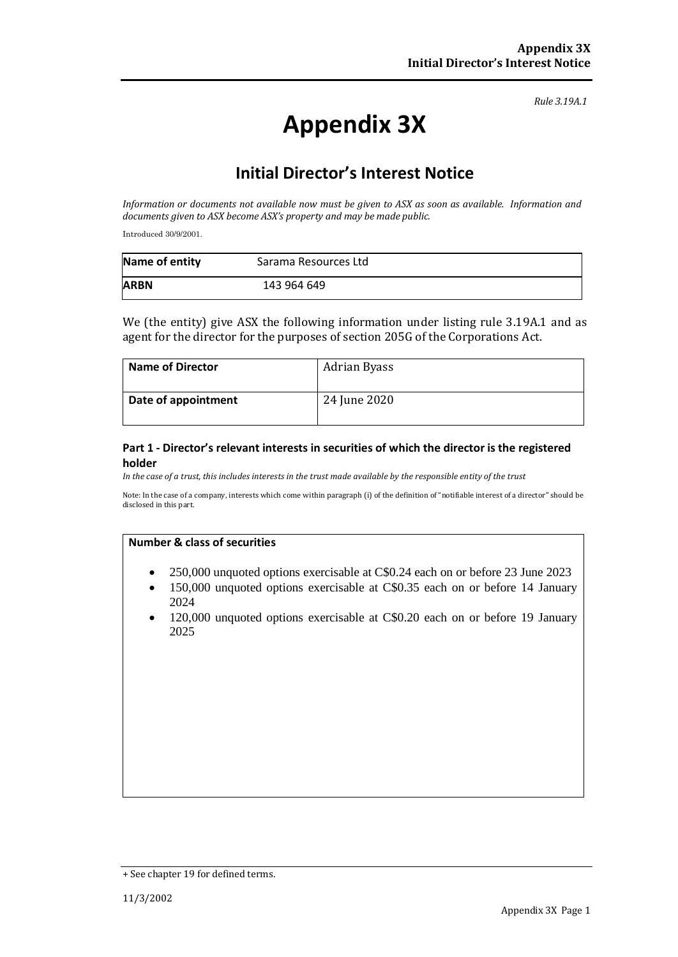# **Appendix 3X**

## **Initial Director's Interest Notice**

*Information or documents not available now must be given to ASX as soon as available. Information and documents given to ASX become ASX's property and may be made public.*

Introduced 30/9/2001.

| Name of entity | Sarama Resources Ltd |  |
|----------------|----------------------|--|
| <b>ARBN</b>    | 143 964 649          |  |

We (the entity) give ASX the following information under listing rule 3.19A.1 and as agent for the director for the purposes of section 205G of the Corporations Act.

| <b>Name of Director</b> | Adrian Byass |
|-------------------------|--------------|
| Date of appointment     | 24 June 2020 |

#### **Part 1 - Director's relevant interests in securities of which the director is the registered holder**

*In the case of a trust, this includes interests in the trust made available by the responsible entity of the trust*

Note: In the case of a company, interests which come within paragraph (i) of the definition of "notifiable interest of a director" should be disclosed in this part.

- 250,000 unquoted options exercisable at C\$0.24 each on or before 23 June 2023
- 150,000 unquoted options exercisable at C\$0.35 each on or before 14 January 2024
- 120,000 unquoted options exercisable at C\$0.20 each on or before 19 January 2025

<sup>+</sup> See chapter 19 for defined terms.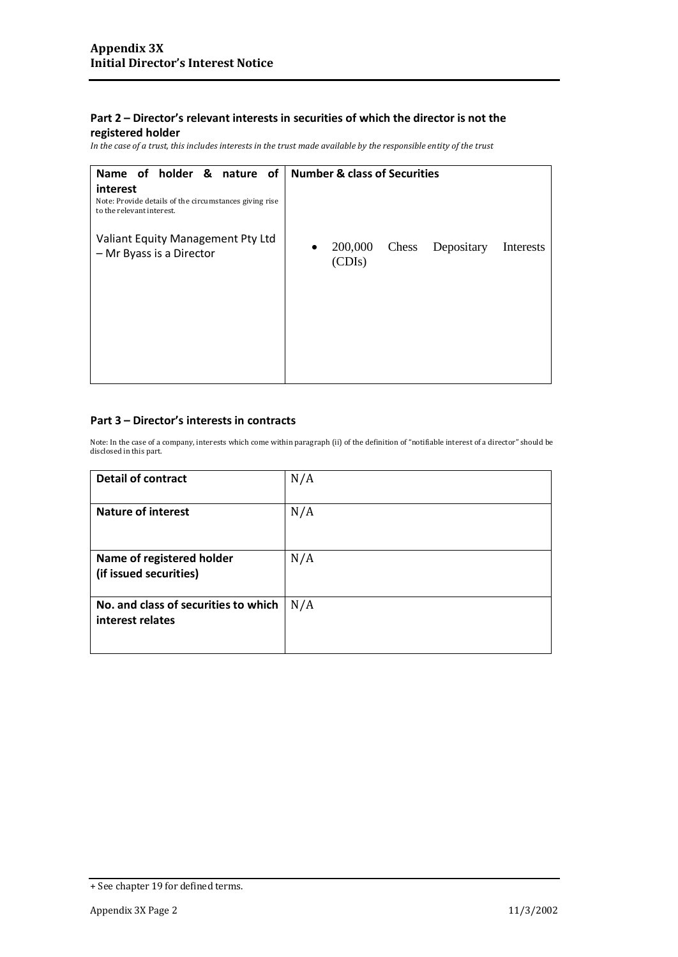### **registered holder**

*In the case of a trust, this includes interests in the trust made available by the responsible entity of the trust*

| Name of holder & nature of                                                                      | <b>Number &amp; class of Securities</b>                            |
|-------------------------------------------------------------------------------------------------|--------------------------------------------------------------------|
| interest<br>Note: Provide details of the circumstances giving rise<br>to the relevant interest. |                                                                    |
| Valiant Equity Management Pty Ltd<br>- Mr Byass is a Director                                   | 200,000<br>Chess<br>Depositary<br>Interests<br>$\bullet$<br>(CDIs) |

### **Part 3 – Director's interests in contracts**

| <b>Detail of contract</b>                                | N/A |
|----------------------------------------------------------|-----|
| <b>Nature of interest</b>                                | N/A |
| Name of registered holder<br>(if issued securities)      | N/A |
| No. and class of securities to which<br>interest relates | N/A |

<sup>+</sup> See chapter 19 for defined terms.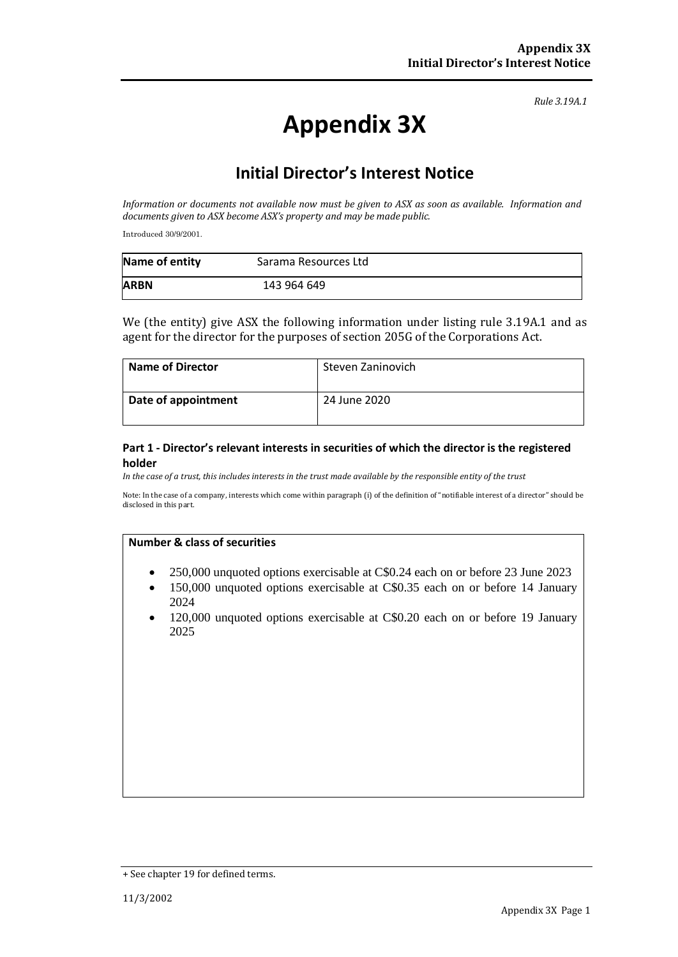# **Appendix 3X**

## **Initial Director's Interest Notice**

*Information or documents not available now must be given to ASX as soon as available. Information and documents given to ASX become ASX's property and may be made public.*

Introduced 30/9/2001.

| Name of entity | Sarama Resources Ltd |  |
|----------------|----------------------|--|
| <b>ARBN</b>    | 143 964 649          |  |

We (the entity) give ASX the following information under listing rule 3.19A.1 and as agent for the director for the purposes of section 205G of the Corporations Act.

| <b>Name of Director</b> | Steven Zaninovich |
|-------------------------|-------------------|
| Date of appointment     | 24 June 2020      |

#### **Part 1 - Director's relevant interests in securities of which the director is the registered holder**

*In the case of a trust, this includes interests in the trust made available by the responsible entity of the trust*

Note: In the case of a company, interests which come within paragraph (i) of the definition of "notifiable interest of a director" should be disclosed in this part.

- 250,000 unquoted options exercisable at C\$0.24 each on or before 23 June 2023
- 150,000 unquoted options exercisable at C\$0.35 each on or before 14 January 2024
- 120,000 unquoted options exercisable at C\$0.20 each on or before 19 January 2025

<sup>+</sup> See chapter 19 for defined terms.